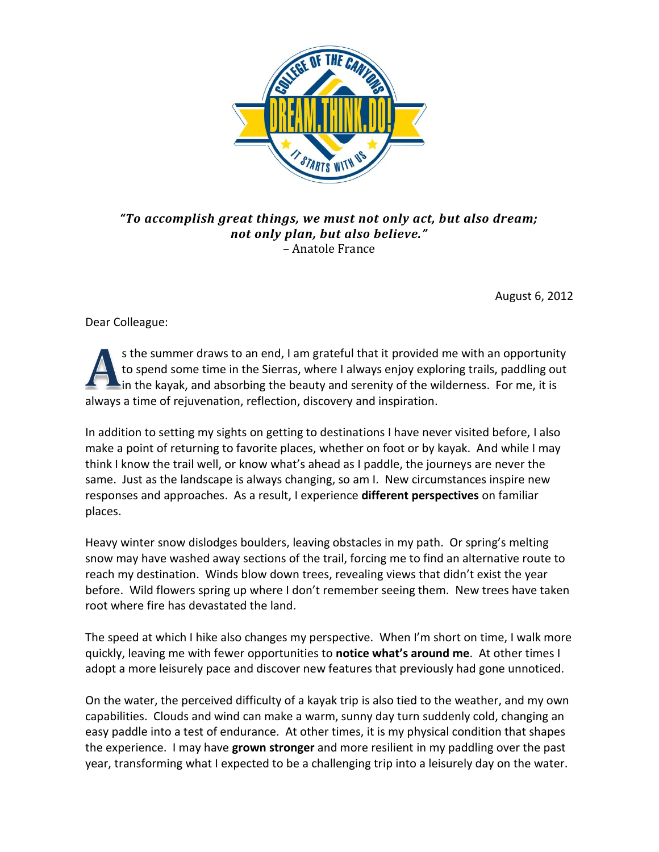

*"To accomplish great things, we must not only act, but also dream; not only plan, but also believe."* – Anatole France

August 6, 2012

Dear Colleague:

s the summer draws to an end, I am grateful that it provided me with an opportunity to spend some time in the Sierras, where I always enjoy exploring trails, paddling out in the kayak, and absorbing the beauty and serenity of the wilderness. For me, it is always a time of rejuvenation, reflection, discovery and inspiration.

In addition to setting my sights on getting to destinations I have never visited before, I also make a point of returning to favorite places, whether on foot or by kayak. And while I may think I know the trail well, or know what's ahead as I paddle, the journeys are never the same. Just as the landscape is always changing, so am I. New circumstances inspire new responses and approaches. As a result, I experience **different perspectives** on familiar places.

Heavy winter snow dislodges boulders, leaving obstacles in my path. Or spring's melting snow may have washed away sections of the trail, forcing me to find an alternative route to reach my destination. Winds blow down trees, revealing views that didn't exist the year before. Wild flowers spring up where I don't remember seeing them. New trees have taken root where fire has devastated the land.

The speed at which I hike also changes my perspective. When I'm short on time, I walk more quickly, leaving me with fewer opportunities to **notice what's around me**. At other times I adopt a more leisurely pace and discover new features that previously had gone unnoticed.

On the water, the perceived difficulty of a kayak trip is also tied to the weather, and my own capabilities. Clouds and wind can make a warm, sunny day turn suddenly cold, changing an easy paddle into a test of endurance. At other times, it is my physical condition that shapes the experience. I may have **grown stronger** and more resilient in my paddling over the past year, transforming what I expected to be a challenging trip into a leisurely day on the water.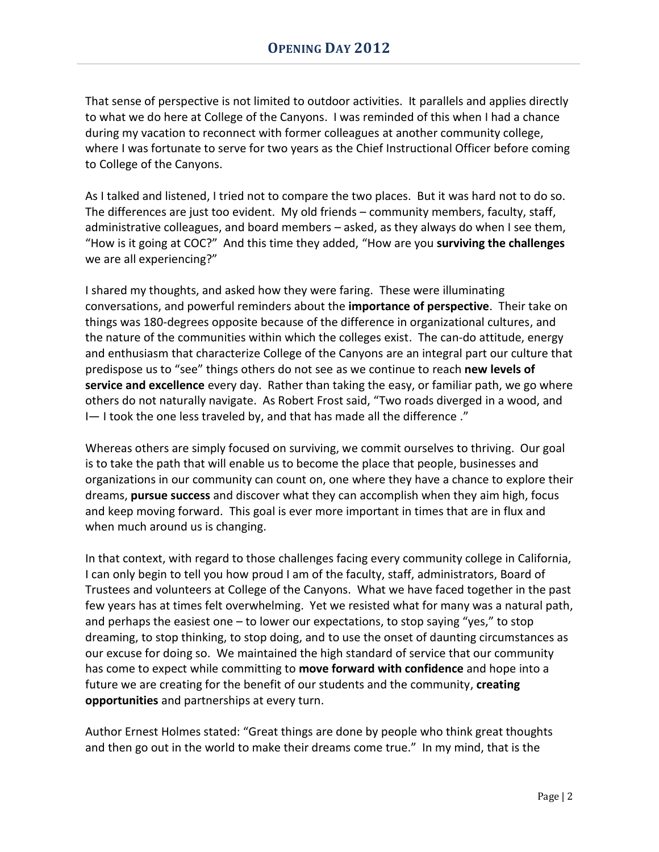That sense of perspective is not limited to outdoor activities. It parallels and applies directly to what we do here at College of the Canyons. I was reminded of this when I had a chance during my vacation to reconnect with former colleagues at another community college, where I was fortunate to serve for two years as the Chief Instructional Officer before coming to College of the Canyons.

As I talked and listened, I tried not to compare the two places. But it was hard not to do so. The differences are just too evident. My old friends – community members, faculty, staff, administrative colleagues, and board members – asked, as they always do when I see them, "How is it going at COC?" And this time they added, "How are you **surviving the challenges** we are all experiencing?"

I shared my thoughts, and asked how they were faring. These were illuminating conversations, and powerful reminders about the **importance of perspective**. Their take on things was 180-degrees opposite because of the difference in organizational cultures, and the nature of the communities within which the colleges exist. The can-do attitude, energy and enthusiasm that characterize College of the Canyons are an integral part our culture that predispose us to "see" things others do not see as we continue to reach **new levels of service and excellence** every day. Rather than taking the easy, or familiar path, we go where others do not naturally navigate. As Robert Frost said, "Two roads diverged in a wood, and I— I took the one less traveled by, and that has made all the difference ."

Whereas others are simply focused on surviving, we commit ourselves to thriving. Our goal is to take the path that will enable us to become the place that people, businesses and organizations in our community can count on, one where they have a chance to explore their dreams, **pursue success** and discover what they can accomplish when they aim high, focus and keep moving forward. This goal is ever more important in times that are in flux and when much around us is changing.

In that context, with regard to those challenges facing every community college in California, I can only begin to tell you how proud I am of the faculty, staff, administrators, Board of Trustees and volunteers at College of the Canyons. What we have faced together in the past few years has at times felt overwhelming. Yet we resisted what for many was a natural path, and perhaps the easiest one – to lower our expectations, to stop saying "yes," to stop dreaming, to stop thinking, to stop doing, and to use the onset of daunting circumstances as our excuse for doing so. We maintained the high standard of service that our community has come to expect while committing to **move forward with confidence** and hope into a future we are creating for the benefit of our students and the community, **creating opportunities** and partnerships at every turn.

Author Ernest Holmes stated: "Great things are done by people who think great thoughts and then go out in the world to make their dreams come true." In my mind, that is the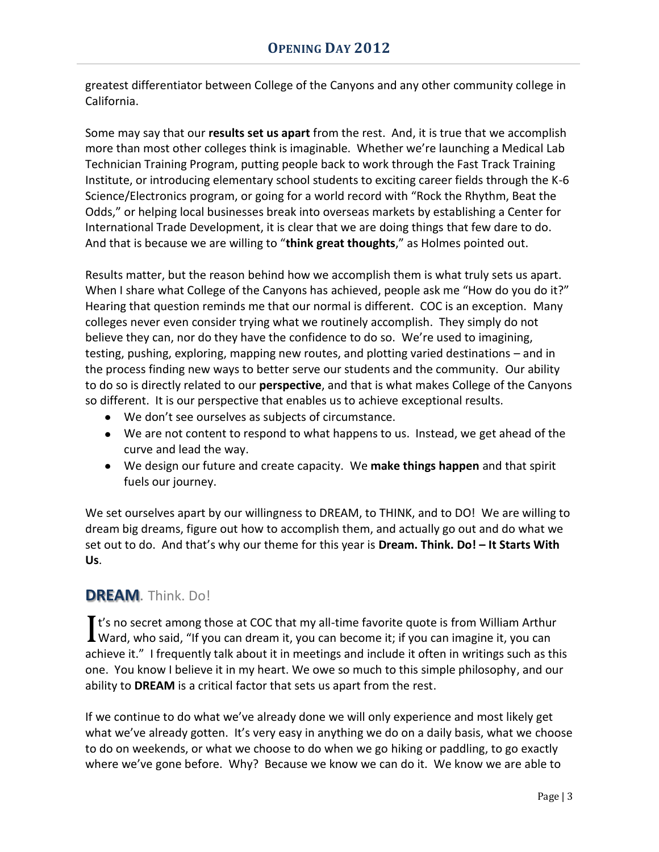greatest differentiator between College of the Canyons and any other community college in California.

Some may say that our **results set us apart** from the rest. And, it is true that we accomplish more than most other colleges think is imaginable. Whether we're launching a Medical Lab Technician Training Program, putting people back to work through the Fast Track Training Institute, or introducing elementary school students to exciting career fields through the K-6 Science/Electronics program, or going for a world record with "Rock the Rhythm, Beat the Odds," or helping local businesses break into overseas markets by establishing a Center for International Trade Development, it is clear that we are doing things that few dare to do. And that is because we are willing to "**think great thoughts**," as Holmes pointed out.

Results matter, but the reason behind how we accomplish them is what truly sets us apart. When I share what College of the Canyons has achieved, people ask me "How do you do it?" Hearing that question reminds me that our normal is different. COC is an exception. Many colleges never even consider trying what we routinely accomplish. They simply do not believe they can, nor do they have the confidence to do so. We're used to imagining, testing, pushing, exploring, mapping new routes, and plotting varied destinations – and in the process finding new ways to better serve our students and the community. Our ability to do so is directly related to our **perspective**, and that is what makes College of the Canyons so different. It is our perspective that enables us to achieve exceptional results.

- We don't see ourselves as subjects of circumstance.
- We are not content to respond to what happens to us. Instead, we get ahead of the curve and lead the way.
- We design our future and create capacity. We **make things happen** and that spirit fuels our journey.

We set ourselves apart by our willingness to DREAM, to THINK, and to DO! We are willing to dream big dreams, figure out how to accomplish them, and actually go out and do what we set out to do. And that's why our theme for this year is **Dream. Think. Do! – It Starts With Us**.

# **DREAM**. Think. Do!

I t's no secret among those at COC that my all-time favorite quote is from William Arthur It's no secret among those at COC that my all-time favorite quote is from William Arthur Ward, who said, "If you can dream it, you can become it; if you can imagine it, you can achieve it." I frequently talk about it in meetings and include it often in writings such as this one. You know I believe it in my heart. We owe so much to this simple philosophy, and our ability to **DREAM** is a critical factor that sets us apart from the rest.

If we continue to do what we've already done we will only experience and most likely get what we've already gotten. It's very easy in anything we do on a daily basis, what we choose to do on weekends, or what we choose to do when we go hiking or paddling, to go exactly where we've gone before. Why? Because we know we can do it. We know we are able to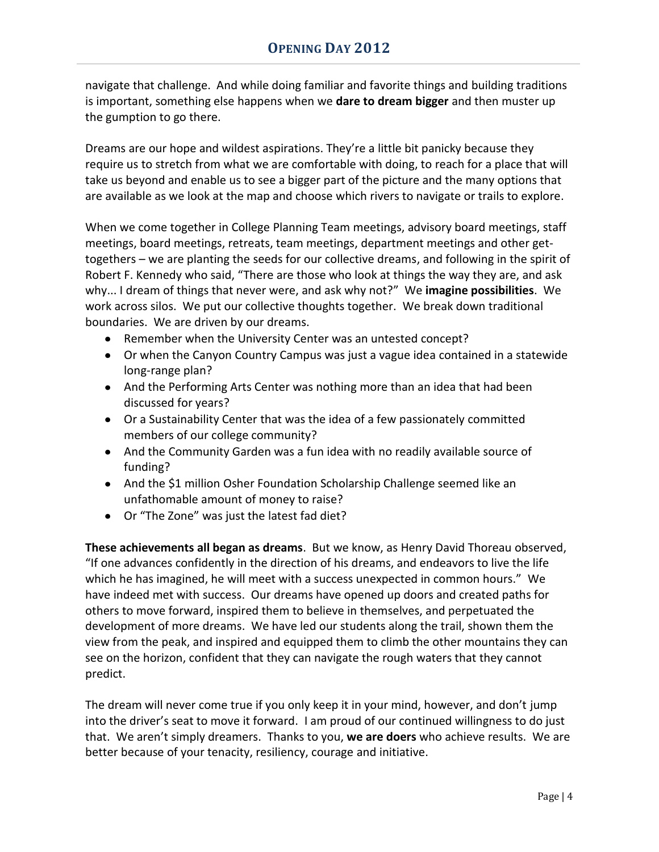navigate that challenge. And while doing familiar and favorite things and building traditions is important, something else happens when we **dare to dream bigger** and then muster up the gumption to go there.

Dreams are our hope and wildest aspirations. They're a little bit panicky because they require us to stretch from what we are comfortable with doing, to reach for a place that will take us beyond and enable us to see a bigger part of the picture and the many options that are available as we look at the map and choose which rivers to navigate or trails to explore.

When we come together in College Planning Team meetings, advisory board meetings, staff meetings, board meetings, retreats, team meetings, department meetings and other gettogethers – we are planting the seeds for our collective dreams, and following in the spirit of Robert F. Kennedy who said, "There are those who look at things the way they are, and ask why... I dream of things that never were, and ask why not?" We **imagine possibilities**. We work across silos. We put our collective thoughts together. We break down traditional boundaries. We are driven by our dreams.

- Remember when the University Center was an untested concept?
- Or when the Canyon Country Campus was just a vague idea contained in a statewide long-range plan?
- And the Performing Arts Center was nothing more than an idea that had been discussed for years?
- Or a Sustainability Center that was the idea of a few passionately committed members of our college community?
- And the Community Garden was a fun idea with no readily available source of funding?
- And the \$1 million Osher Foundation Scholarship Challenge seemed like an unfathomable amount of money to raise?
- Or "The Zone" was just the latest fad diet?

**These achievements all began as dreams**. But we know, as Henry David Thoreau observed, "If one advances confidently in the direction of his dreams, and endeavors to live the life which he has imagined, he will meet with a success unexpected in common hours." We have indeed met with success. Our dreams have opened up doors and created paths for others to move forward, inspired them to believe in themselves, and perpetuated the development of more dreams. We have led our students along the trail, shown them the view from the peak, and inspired and equipped them to climb the other mountains they can see on the horizon, confident that they can navigate the rough waters that they cannot predict.

The dream will never come true if you only keep it in your mind, however, and don't jump into the driver's seat to move it forward. I am proud of our continued willingness to do just that. We aren't simply dreamers. Thanks to you, **we are doers** who achieve results. We are better because of your tenacity, resiliency, courage and initiative.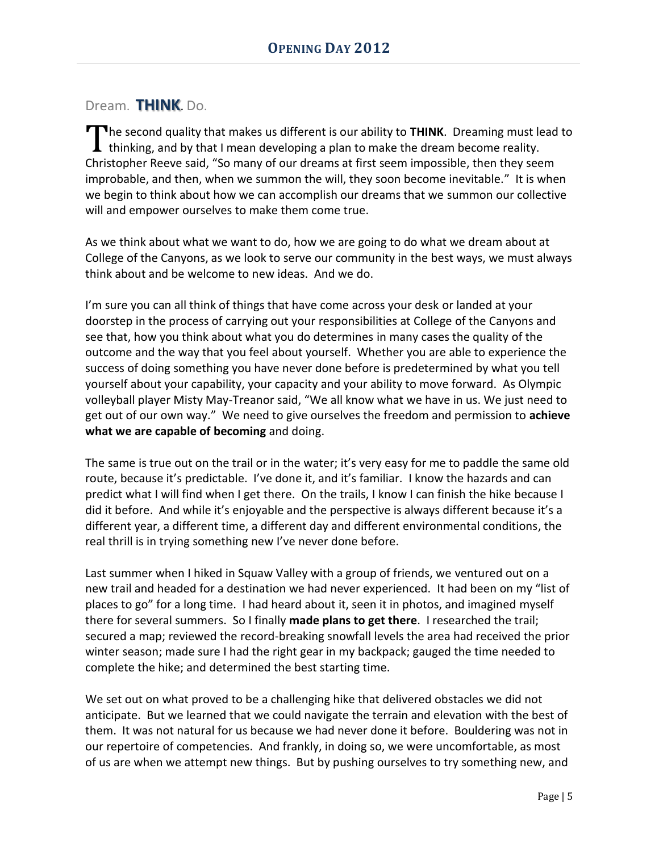#### Dream. **THINK**. Do.

The second quality that makes us different is our ability to THINK. Dreaming must lead to thinking, and by that I mean developing a plan to make the dream become reality.  $\blacksquare$  thinking, and by that I mean developing a plan to make the dream become reality. Christopher Reeve said, "So many of our dreams at first seem impossible, then they seem improbable, and then, when we summon the will, they soon become inevitable." It is when we begin to think about how we can accomplish our dreams that we summon our collective will and empower ourselves to make them come true.

As we think about what we want to do, how we are going to do what we dream about at College of the Canyons, as we look to serve our community in the best ways, we must always think about and be welcome to new ideas. And we do.

I'm sure you can all think of things that have come across your desk or landed at your doorstep in the process of carrying out your responsibilities at College of the Canyons and see that, how you think about what you do determines in many cases the quality of the outcome and the way that you feel about yourself. Whether you are able to experience the success of doing something you have never done before is predetermined by what you tell yourself about your capability, your capacity and your ability to move forward. As Olympic volleyball player Misty May-Treanor said, "We all know what we have in us. We just need to get out of our own way." We need to give ourselves the freedom and permission to **achieve what we are capable of becoming** and doing.

The same is true out on the trail or in the water; it's very easy for me to paddle the same old route, because it's predictable. I've done it, and it's familiar. I know the hazards and can predict what I will find when I get there. On the trails, I know I can finish the hike because I did it before. And while it's enjoyable and the perspective is always different because it's a different year, a different time, a different day and different environmental conditions, the real thrill is in trying something new I've never done before.

Last summer when I hiked in Squaw Valley with a group of friends, we ventured out on a new trail and headed for a destination we had never experienced. It had been on my "list of places to go" for a long time. I had heard about it, seen it in photos, and imagined myself there for several summers. So I finally **made plans to get there**. I researched the trail; secured a map; reviewed the record-breaking snowfall levels the area had received the prior winter season; made sure I had the right gear in my backpack; gauged the time needed to complete the hike; and determined the best starting time.

We set out on what proved to be a challenging hike that delivered obstacles we did not anticipate. But we learned that we could navigate the terrain and elevation with the best of them. It was not natural for us because we had never done it before. Bouldering was not in our repertoire of competencies. And frankly, in doing so, we were uncomfortable, as most of us are when we attempt new things. But by pushing ourselves to try something new, and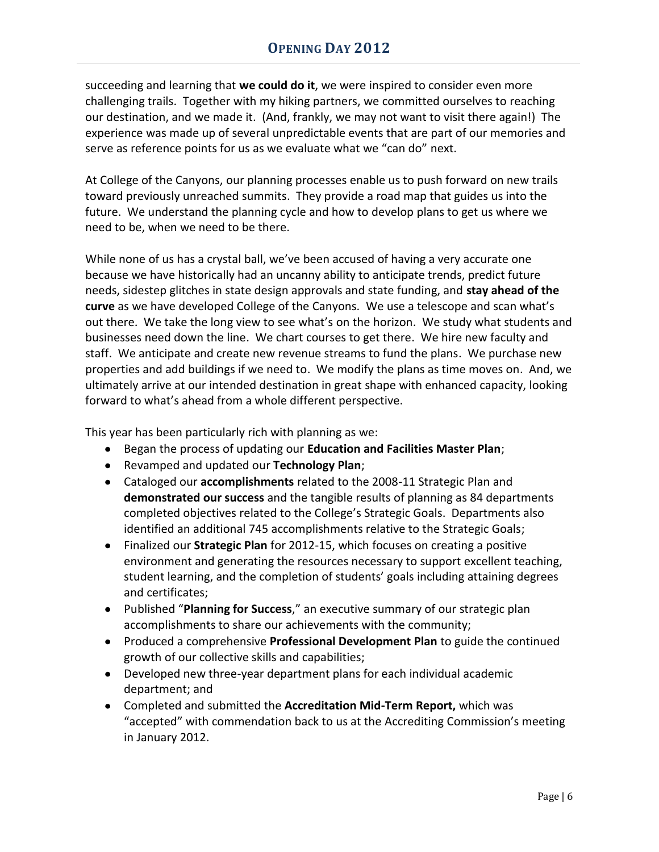succeeding and learning that **we could do it**, we were inspired to consider even more challenging trails. Together with my hiking partners, we committed ourselves to reaching our destination, and we made it. (And, frankly, we may not want to visit there again!) The experience was made up of several unpredictable events that are part of our memories and serve as reference points for us as we evaluate what we "can do" next.

At College of the Canyons, our planning processes enable us to push forward on new trails toward previously unreached summits. They provide a road map that guides us into the future. We understand the planning cycle and how to develop plans to get us where we need to be, when we need to be there.

While none of us has a crystal ball, we've been accused of having a very accurate one because we have historically had an uncanny ability to anticipate trends, predict future needs, sidestep glitches in state design approvals and state funding, and **stay ahead of the curve** as we have developed College of the Canyons. We use a telescope and scan what's out there. We take the long view to see what's on the horizon. We study what students and businesses need down the line. We chart courses to get there. We hire new faculty and staff. We anticipate and create new revenue streams to fund the plans. We purchase new properties and add buildings if we need to. We modify the plans as time moves on. And, we ultimately arrive at our intended destination in great shape with enhanced capacity, looking forward to what's ahead from a whole different perspective.

This year has been particularly rich with planning as we:

- Began the process of updating our **Education and Facilities Master Plan**;
- Revamped and updated our **Technology Plan**;
- Cataloged our **accomplishments** related to the 2008-11 Strategic Plan and **demonstrated our success** and the tangible results of planning as 84 departments completed objectives related to the College's Strategic Goals. Departments also identified an additional 745 accomplishments relative to the Strategic Goals;
- Finalized our **Strategic Plan** for 2012-15, which focuses on creating a positive environment and generating the resources necessary to support excellent teaching, student learning, and the completion of students' goals including attaining degrees and certificates;
- Published "**Planning for Success**," an executive summary of our strategic plan accomplishments to share our achievements with the community;
- Produced a comprehensive **Professional Development Plan** to guide the continued growth of our collective skills and capabilities;
- Developed new three-year department plans for each individual academic department; and
- Completed and submitted the **Accreditation Mid-Term Report,** which was "accepted" with commendation back to us at the Accrediting Commission's meeting in January 2012.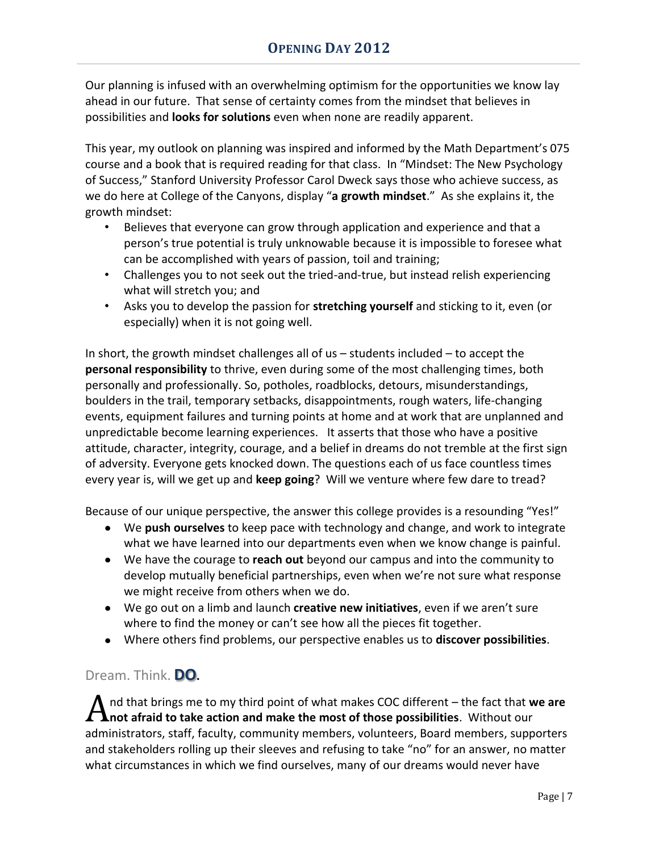Our planning is infused with an overwhelming optimism for the opportunities we know lay ahead in our future. That sense of certainty comes from the mindset that believes in possibilities and **looks for solutions** even when none are readily apparent.

This year, my outlook on planning was inspired and informed by the Math Department's 075 course and a book that is required reading for that class. In "Mindset: The New Psychology of Success," Stanford University Professor Carol Dweck says those who achieve success, as we do here at College of the Canyons, display "**a growth mindset**." As she explains it, the growth mindset:

- Believes that everyone can grow through application and experience and that a person's true potential is truly unknowable because it is impossible to foresee what can be accomplished with years of passion, toil and training;
- Challenges you to not seek out the tried-and-true, but instead relish experiencing what will stretch you; and
- Asks you to develop the passion for **stretching yourself** and sticking to it, even (or especially) when it is not going well.

In short, the growth mindset challenges all of us  $-$  students included  $-$  to accept the **personal responsibility** to thrive, even during some of the most challenging times, both personally and professionally. So, potholes, roadblocks, detours, misunderstandings, boulders in the trail, temporary setbacks, disappointments, rough waters, life-changing events, equipment failures and turning points at home and at work that are unplanned and unpredictable become learning experiences. It asserts that those who have a positive attitude, character, integrity, courage, and a belief in dreams do not tremble at the first sign of adversity. Everyone gets knocked down. The questions each of us face countless times every year is, will we get up and **keep going**? Will we venture where few dare to tread?

Because of our unique perspective, the answer this college provides is a resounding "Yes!"

- We **push ourselves** to keep pace with technology and change, and work to integrate what we have learned into our departments even when we know change is painful.
- We have the courage to **reach out** beyond our campus and into the community to develop mutually beneficial partnerships, even when we're not sure what response we might receive from others when we do.
- We go out on a limb and launch **creative new initiatives**, even if we aren't sure where to find the money or can't see how all the pieces fit together.
- Where others find problems, our perspective enables us to **discover possibilities**.

#### Dream. Think. **DO.**

nd that brings me to my third point of what makes COC different – the fact that **we are** A nd that brings me to my third point of what makes COC different – the fact that **w** not afraid to take action and make the most of those possibilities. Without our administrators, staff, faculty, community members, volunteers, Board members, supporters and stakeholders rolling up their sleeves and refusing to take "no" for an answer, no matter what circumstances in which we find ourselves, many of our dreams would never have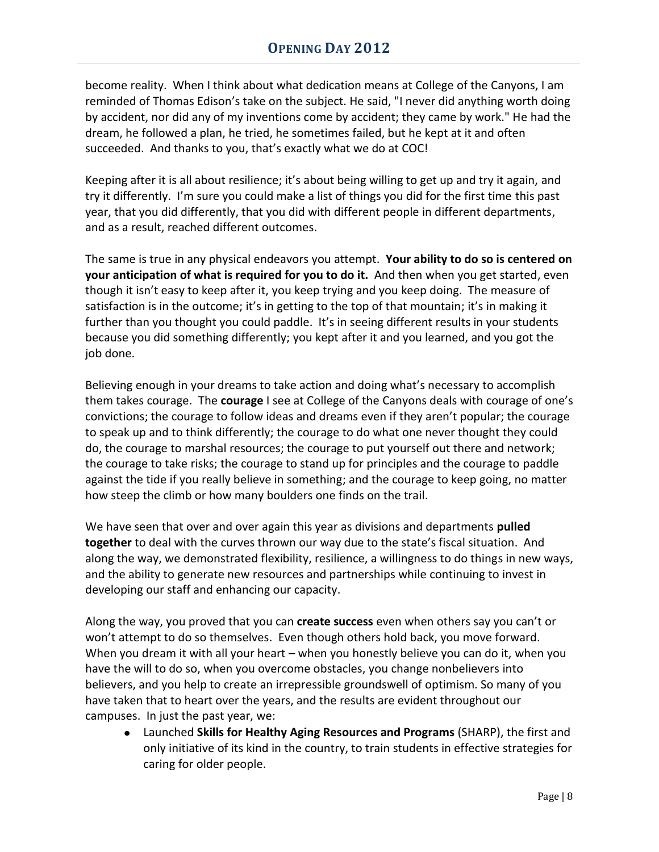become reality. When I think about what dedication means at College of the Canyons, I am reminded of Thomas Edison's take on the subject. He said, "I never did anything worth doing by accident, nor did any of my inventions come by accident; they came by work." He had the dream, he followed a plan, he tried, he sometimes failed, but he kept at it and often succeeded. And thanks to you, that's exactly what we do at COC!

Keeping after it is all about resilience; it's about being willing to get up and try it again, and try it differently. I'm sure you could make a list of things you did for the first time this past year, that you did differently, that you did with different people in different departments, and as a result, reached different outcomes.

The same is true in any physical endeavors you attempt. **Your ability to do so is centered on your anticipation of what is required for you to do it.** And then when you get started, even though it isn't easy to keep after it, you keep trying and you keep doing. The measure of satisfaction is in the outcome; it's in getting to the top of that mountain; it's in making it further than you thought you could paddle. It's in seeing different results in your students because you did something differently; you kept after it and you learned, and you got the job done.

Believing enough in your dreams to take action and doing what's necessary to accomplish them takes courage. The **courage** I see at College of the Canyons deals with courage of one's convictions; the courage to follow ideas and dreams even if they aren't popular; the courage to speak up and to think differently; the courage to do what one never thought they could do, the courage to marshal resources; the courage to put yourself out there and network; the courage to take risks; the courage to stand up for principles and the courage to paddle against the tide if you really believe in something; and the courage to keep going, no matter how steep the climb or how many boulders one finds on the trail.

We have seen that over and over again this year as divisions and departments **pulled together** to deal with the curves thrown our way due to the state's fiscal situation. And along the way, we demonstrated flexibility, resilience, a willingness to do things in new ways, and the ability to generate new resources and partnerships while continuing to invest in developing our staff and enhancing our capacity.

Along the way, you proved that you can **create success** even when others say you can't or won't attempt to do so themselves. Even though others hold back, you move forward. When you dream it with all your heart – when you honestly believe you can do it, when you have the will to do so, when you overcome obstacles, you change nonbelievers into believers, and you help to create an irrepressible groundswell of optimism. So many of you have taken that to heart over the years, and the results are evident throughout our campuses. In just the past year, we:

Launched **Skills for Healthy Aging Resources and Programs** (SHARP), the first and only initiative of its kind in the country, to train students in effective strategies for caring for older people.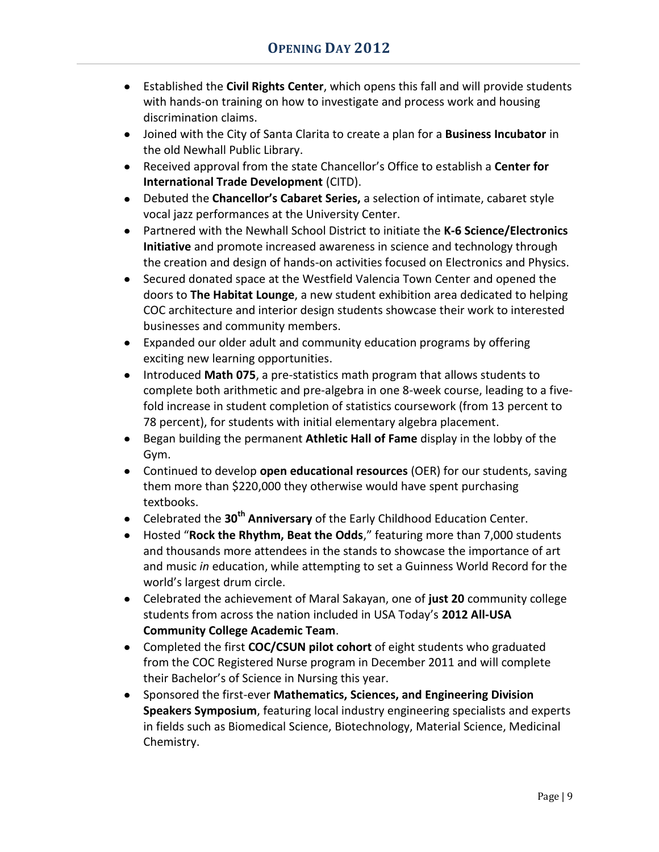- Established the **Civil Rights Center**, which opens this fall and will provide students with hands-on training on how to investigate and process work and housing discrimination claims.
- Joined with the City of Santa Clarita to create a plan for a **Business Incubator** in the old Newhall Public Library.
- Received approval from the state Chancellor's Office to establish a **Center for International Trade Development** (CITD).
- Debuted the **Chancellor's Cabaret Series,** a selection of intimate, cabaret style vocal jazz performances at the University Center.
- Partnered with the Newhall School District to initiate the **K-6 Science/Electronics Initiative** and promote increased awareness in science and technology through the creation and design of hands-on activities focused on Electronics and Physics.
- Secured donated space at the Westfield Valencia Town Center and opened the doors to **The Habitat Lounge**, a new student exhibition area dedicated to helping COC architecture and interior design students showcase their work to interested businesses and community members.
- Expanded our older adult and community education programs by offering exciting new learning opportunities.
- Introduced **Math 075**, a pre-statistics math program that allows students to complete both arithmetic and pre-algebra in one 8-week course, leading to a fivefold increase in student completion of statistics coursework (from 13 percent to 78 percent), for students with initial elementary algebra placement.
- Began building the permanent **Athletic Hall of Fame** display in the lobby of the Gym.
- Continued to develop **open educational resources** (OER) for our students, saving them more than \$220,000 they otherwise would have spent purchasing textbooks.
- Celebrated the **30th Anniversary** of the Early Childhood Education Center.
- Hosted "**Rock the Rhythm, Beat the Odds**," featuring more than 7,000 students and thousands more attendees in the stands to showcase the importance of art and music *in* education, while attempting to set a Guinness World Record for the world's largest drum circle.
- Celebrated the achievement of Maral Sakayan, one of **just 20** community college students from across the nation included in USA Today's **2012 All-USA Community College Academic Team**.
- Completed the first **COC/CSUN pilot cohort** of eight students who graduated from the COC Registered Nurse program in December 2011 and will complete their Bachelor's of Science in Nursing this year.
- Sponsored the first-ever **Mathematics, Sciences, and Engineering Division Speakers Symposium**, featuring local industry engineering specialists and experts in fields such as Biomedical Science, Biotechnology, Material Science, Medicinal Chemistry.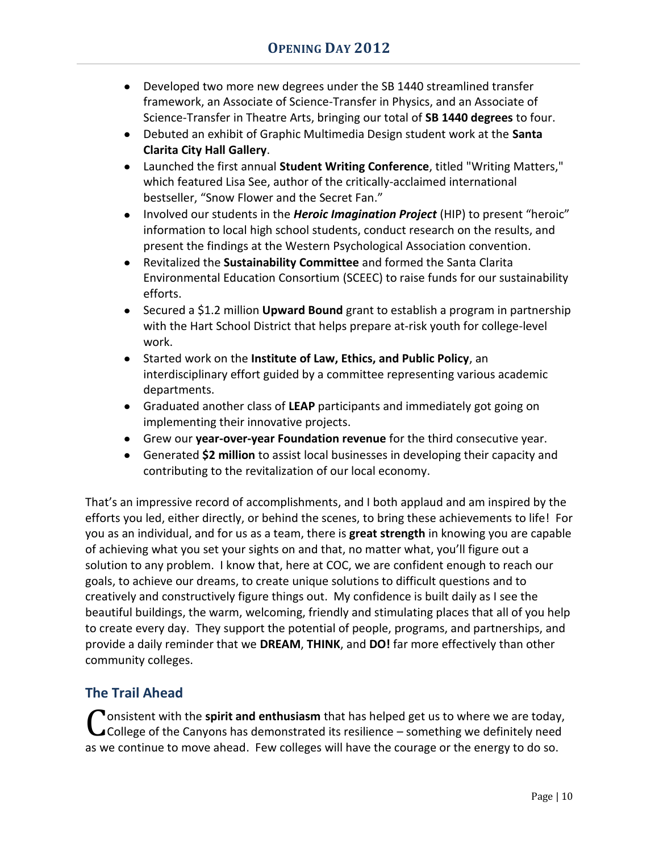- Developed two more new degrees under the SB 1440 streamlined transfer framework, an Associate of Science-Transfer in Physics, and an Associate of Science-Transfer in Theatre Arts, bringing our total of **SB 1440 degrees** to four.
- Debuted an exhibit of Graphic Multimedia Design student work at the **Santa Clarita City Hall Gallery**.
- Launched the first annual **Student Writing Conference**, titled "Writing Matters," which featured Lisa See, author of the critically-acclaimed international bestseller, "Snow Flower and the Secret Fan."
- Involved our students in the *Heroic Imagination Project* (HIP) to present "heroic" information to local high school students, conduct research on the results, and present the findings at the Western Psychological Association convention.
- Revitalized the **Sustainability Committee** and formed the Santa Clarita Environmental Education Consortium (SCEEC) to raise funds for our sustainability efforts.
- Secured a \$1.2 million **Upward Bound** grant to establish a program in partnership with the Hart School District that helps prepare at-risk youth for college-level work.
- Started work on the **Institute of Law, Ethics, and Public Policy**, an interdisciplinary effort guided by a committee representing various academic departments.
- Graduated another class of **LEAP** participants and immediately got going on implementing their innovative projects.
- Grew our **year-over-year Foundation revenue** for the third consecutive year.
- Generated **\$2 million** to assist local businesses in developing their capacity and contributing to the revitalization of our local economy.

That's an impressive record of accomplishments, and I both applaud and am inspired by the efforts you led, either directly, or behind the scenes, to bring these achievements to life! For you as an individual, and for us as a team, there is **great strength** in knowing you are capable of achieving what you set your sights on and that, no matter what, you'll figure out a solution to any problem. I know that, here at COC, we are confident enough to reach our goals, to achieve our dreams, to create unique solutions to difficult questions and to creatively and constructively figure things out. My confidence is built daily as I see the beautiful buildings, the warm, welcoming, friendly and stimulating places that all of you help to create every day. They support the potential of people, programs, and partnerships, and provide a daily reminder that we **DREAM**, **THINK**, and **DO!** far more effectively than other community colleges.

# **The Trail Ahead**

**T** onsistent with the **spirit and enthusiasm** that has helped get us to where we are today, Consistent with the spirit and enthusiasm that has helped get us to where we are today,<br>College of the Canyons has demonstrated its resilience – something we definitely need as we continue to move ahead. Few colleges will have the courage or the energy to do so.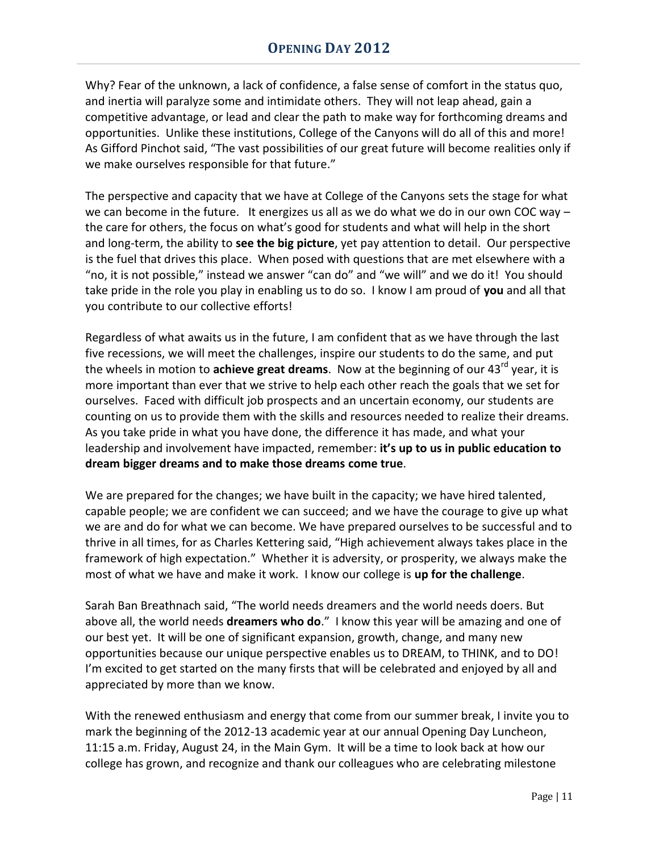Why? Fear of the unknown, a lack of confidence, a false sense of comfort in the status quo, and inertia will paralyze some and intimidate others. They will not leap ahead, gain a competitive advantage, or lead and clear the path to make way for forthcoming dreams and opportunities. Unlike these institutions, College of the Canyons will do all of this and more! As Gifford Pinchot said, "The vast possibilities of our great future will become realities only if we make ourselves responsible for that future."

The perspective and capacity that we have at College of the Canyons sets the stage for what we can become in the future. It energizes us all as we do what we do in our own COC way  $$ the care for others, the focus on what's good for students and what will help in the short and long-term, the ability to **see the big picture**, yet pay attention to detail. Our perspective is the fuel that drives this place. When posed with questions that are met elsewhere with a "no, it is not possible," instead we answer "can do" and "we will" and we do it! You should take pride in the role you play in enabling us to do so. I know I am proud of **you** and all that you contribute to our collective efforts!

Regardless of what awaits us in the future, I am confident that as we have through the last five recessions, we will meet the challenges, inspire our students to do the same, and put the wheels in motion to **achieve great dreams**. Now at the beginning of our 43<sup>rd</sup> year, it is more important than ever that we strive to help each other reach the goals that we set for ourselves. Faced with difficult job prospects and an uncertain economy, our students are counting on us to provide them with the skills and resources needed to realize their dreams. As you take pride in what you have done, the difference it has made, and what your leadership and involvement have impacted, remember: **it's up to us in public education to dream bigger dreams and to make those dreams come true**.

We are prepared for the changes; we have built in the capacity; we have hired talented, capable people; we are confident we can succeed; and we have the courage to give up what we are and do for what we can become. We have prepared ourselves to be successful and to thrive in all times, for as Charles Kettering said, "High achievement always takes place in the framework of high expectation." Whether it is adversity, or prosperity, we always make the most of what we have and make it work. I know our college is **up for the challenge**.

Sarah Ban Breathnach said, "The world needs dreamers and the world needs doers. But above all, the world needs **dreamers who do**." I know this year will be amazing and one of our best yet. It will be one of significant expansion, growth, change, and many new opportunities because our unique perspective enables us to DREAM, to THINK, and to DO! I'm excited to get started on the many firsts that will be celebrated and enjoyed by all and appreciated by more than we know.

With the renewed enthusiasm and energy that come from our summer break, I invite you to mark the beginning of the 2012-13 academic year at our annual Opening Day Luncheon, 11:15 a.m. Friday, August 24, in the Main Gym. It will be a time to look back at how our college has grown, and recognize and thank our colleagues who are celebrating milestone